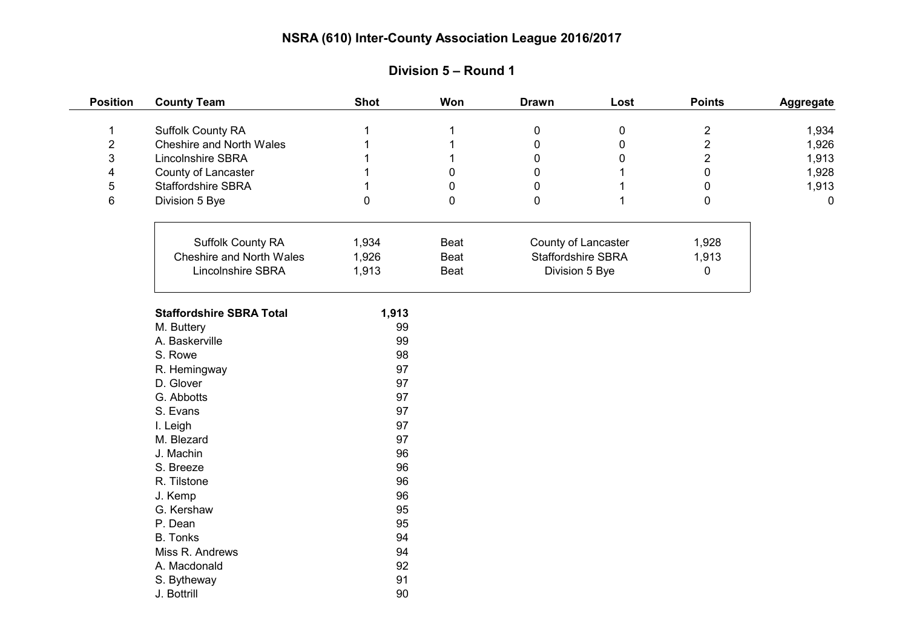| <b>Position</b>  | <b>County Team</b>              | <b>Shot</b> | Won         | <b>Drawn</b>        | Lost        | <b>Points</b>  | Aggregate   |
|------------------|---------------------------------|-------------|-------------|---------------------|-------------|----------------|-------------|
| $\mathbf{1}$     | Suffolk County RA               |             | 1           | $\pmb{0}$           | 0           | $\overline{2}$ | 1,934       |
| $\boldsymbol{2}$ | Cheshire and North Wales        |             |             | $\pmb{0}$           | $\mathbf 0$ | $\overline{2}$ | 1,926       |
| $\mathbf{3}$     | Lincolnshire SBRA               |             |             | $\mathbf 0$         | 0           | $\overline{2}$ | 1,913       |
| 4                | County of Lancaster             |             | $\mathbf 0$ | $\mathbf 0$         |             | $\mathbf 0$    | 1,928       |
| 5                | <b>Staffordshire SBRA</b>       |             | $\mathbf 0$ | $\mathbf 0$         |             | $\mathbf 0$    | 1,913       |
| 6                | Division 5 Bye                  | $\Omega$    | 0           | $\mathbf 0$         |             | 0              | $\mathbf 0$ |
|                  |                                 |             |             |                     |             |                |             |
|                  | Suffolk County RA               | 1,934       | Beat        | County of Lancaster |             | 1,928          |             |
|                  | Cheshire and North Wales        | 1,926       | Beat        | Staffordshire SBRA  |             | 1,913          |             |
|                  | Lincolnshire SBRA               | 1,913       | Beat        | Division 5 Bye      |             | 0              |             |
|                  | <b>Staffordshire SBRA Total</b> | 1,913       |             |                     |             |                |             |
|                  | M. Buttery                      | 99          |             |                     |             |                |             |
|                  | A. Baskerville                  | 99          |             |                     |             |                |             |
|                  | S. Rowe                         | 98          |             |                     |             |                |             |
|                  | R. Hemingway                    | 97          |             |                     |             |                |             |
|                  | D. Glover                       | 97          |             |                     |             |                |             |
|                  | G. Abbotts                      | 97          |             |                     |             |                |             |
|                  | S. Evans                        | 97          |             |                     |             |                |             |
|                  | I. Leigh                        | 97          |             |                     |             |                |             |
|                  | M. Blezard                      | 97          |             |                     |             |                |             |
|                  | J. Machin                       | 96          |             |                     |             |                |             |
|                  | S. Breeze                       | 96          |             |                     |             |                |             |
|                  | R. Tilstone                     | 96          |             |                     |             |                |             |
|                  | J. Kemp                         | 96          |             |                     |             |                |             |
|                  | G. Kershaw                      | 95          |             |                     |             |                |             |
|                  | P. Dean                         | 95          |             |                     |             |                |             |
|                  | <b>B.</b> Tonks                 | 94          |             |                     |             |                |             |
|                  | Miss R. Andrews                 | 94          |             |                     |             |                |             |
|                  | A. Macdonald                    | 92          |             |                     |             |                |             |
|                  | S. Bytheway                     | 91          |             |                     |             |                |             |
|                  | J. Bottrill                     | 90          |             |                     |             |                |             |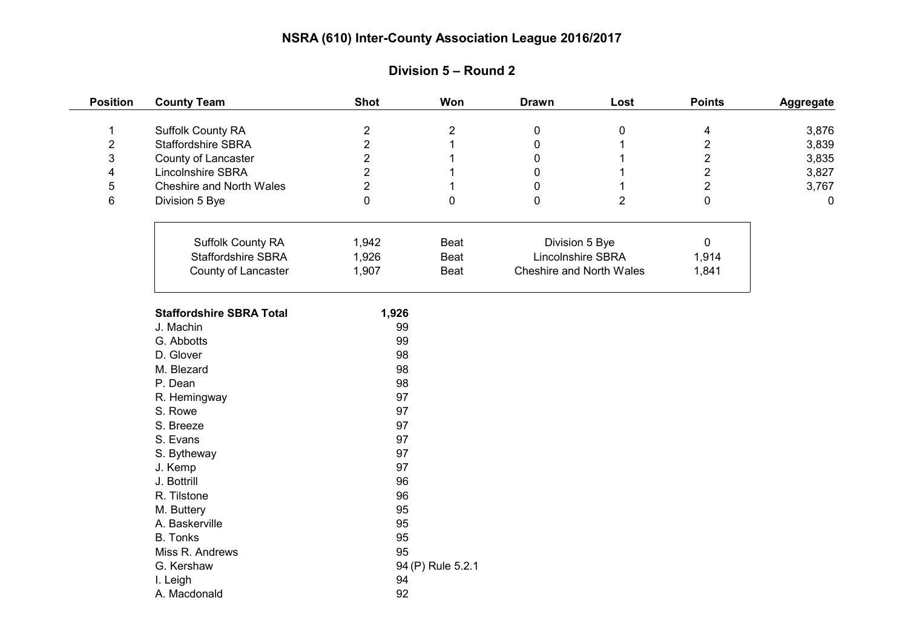| <b>Position</b>         | <b>County Team</b>              | <b>Shot</b>    | Won               | <b>Drawn</b>                        | Lost           | <b>Points</b>           | Aggregate |
|-------------------------|---------------------------------|----------------|-------------------|-------------------------------------|----------------|-------------------------|-----------|
| $\mathbf 1$             | <b>Suffolk County RA</b>        | $\mathbf 2$    | $\mathbf 2$       | $\pmb{0}$                           | $\pmb{0}$      | $\overline{\mathbf{4}}$ | 3,876     |
| $\boldsymbol{2}$        | Staffordshire SBRA              | $\overline{2}$ |                   | $\pmb{0}$                           |                | $\boldsymbol{2}$        | 3,839     |
| 3                       | County of Lancaster             | $\overline{2}$ |                   | 0                                   |                | $\overline{2}$          | 3,835     |
| $\overline{\mathbf{4}}$ | Lincolnshire SBRA               | $\overline{2}$ |                   | $\Omega$                            |                | $\overline{2}$          | 3,827     |
| $\sqrt{5}$              | Cheshire and North Wales        | $\overline{2}$ | 1                 | 0                                   |                | $\overline{2}$          | 3,767     |
| 6                       | Division 5 Bye                  | $\mathbf 0$    | $\mathbf 0$       | $\mathbf 0$                         | $\overline{2}$ | $\mathbf 0$             | 0         |
|                         | Suffolk County RA               | 1,942          | Beat              | Division 5 Bye<br>Lincolnshire SBRA |                | $\mathbf 0$             |           |
|                         | Staffordshire SBRA              | 1,926          | Beat              |                                     |                | 1,914                   |           |
|                         | County of Lancaster             | 1,907          | Beat              | Cheshire and North Wales            |                | 1,841                   |           |
|                         |                                 |                |                   |                                     |                |                         |           |
|                         | <b>Staffordshire SBRA Total</b> | 1,926          |                   |                                     |                |                         |           |
|                         | J. Machin                       | 99             |                   |                                     |                |                         |           |
|                         | G. Abbotts                      | 99             |                   |                                     |                |                         |           |
|                         | D. Glover                       | 98             |                   |                                     |                |                         |           |
|                         | M. Blezard                      | 98             |                   |                                     |                |                         |           |
|                         | P. Dean                         | 98             |                   |                                     |                |                         |           |
|                         | R. Hemingway                    | 97             |                   |                                     |                |                         |           |
|                         | S. Rowe                         | 97             |                   |                                     |                |                         |           |
|                         | S. Breeze                       | 97             |                   |                                     |                |                         |           |
|                         | S. Evans                        | 97             |                   |                                     |                |                         |           |
|                         | S. Bytheway                     | 97             |                   |                                     |                |                         |           |
|                         | J. Kemp                         | 97             |                   |                                     |                |                         |           |
|                         | J. Bottrill                     | 96             |                   |                                     |                |                         |           |
|                         | R. Tilstone                     | 96             |                   |                                     |                |                         |           |
|                         | M. Buttery                      | 95             |                   |                                     |                |                         |           |
|                         | A. Baskerville                  | 95             |                   |                                     |                |                         |           |
|                         | <b>B.</b> Tonks                 | 95             |                   |                                     |                |                         |           |
|                         | Miss R. Andrews                 | 95             |                   |                                     |                |                         |           |
|                         | G. Kershaw                      |                | 94 (P) Rule 5.2.1 |                                     |                |                         |           |
|                         | I. Leigh                        | 94             |                   |                                     |                |                         |           |
|                         | A. Macdonald                    | 92             |                   |                                     |                |                         |           |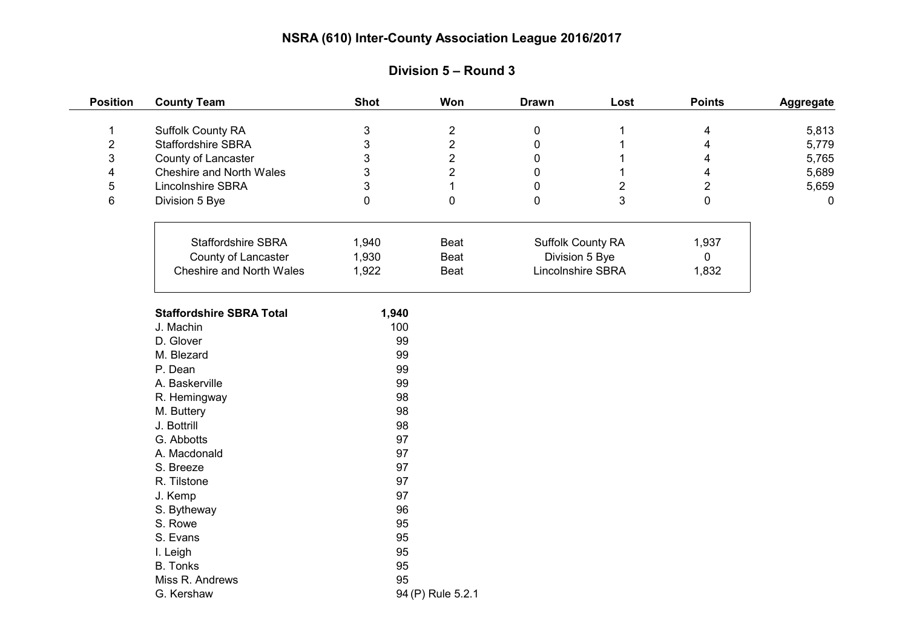| <b>Position</b> | <b>County Team</b>              | <b>Shot</b>       | Won            | <b>Drawn</b>      | Lost           | <b>Points</b>  | Aggregate |
|-----------------|---------------------------------|-------------------|----------------|-------------------|----------------|----------------|-----------|
| $\mathbf 1$     | Suffolk County RA               | 3                 | $\overline{2}$ | 0                 |                | 4              | 5,813     |
| $\overline{2}$  | <b>Staffordshire SBRA</b>       | 3                 | $\overline{2}$ | 0                 |                | 4              | 5,779     |
| 3               | County of Lancaster             | 3                 | $\overline{2}$ | 0                 |                | 4              | 5,765     |
| 4               | Cheshire and North Wales        | 3                 | $\overline{2}$ | $\Omega$          |                | 4              | 5,689     |
| 5               | <b>Lincolnshire SBRA</b>        | 3                 | $\mathbf{1}$   | 0                 | $\overline{2}$ | $\overline{2}$ | 5,659     |
| 6               | Division 5 Bye                  | 0                 | $\pmb{0}$      | $\mathbf 0$       | 3              | $\mathbf 0$    | 0         |
|                 | <b>Staffordshire SBRA</b>       | 1,940             | Beat           | Suffolk County RA |                | 1,937          |           |
|                 | County of Lancaster             | 1,930             | Beat           | Division 5 Bye    |                | $\mathbf 0$    |           |
|                 | Cheshire and North Wales        | 1,922             | Beat           | Lincolnshire SBRA |                | 1,832          |           |
|                 |                                 |                   |                |                   |                |                |           |
|                 | <b>Staffordshire SBRA Total</b> | 1,940             |                |                   |                |                |           |
|                 | J. Machin                       | 100               |                |                   |                |                |           |
|                 | D. Glover                       | 99                |                |                   |                |                |           |
|                 | M. Blezard                      | 99                |                |                   |                |                |           |
|                 | P. Dean                         | 99                |                |                   |                |                |           |
|                 | A. Baskerville                  | 99                |                |                   |                |                |           |
|                 | R. Hemingway                    | 98                |                |                   |                |                |           |
|                 | M. Buttery                      | 98                |                |                   |                |                |           |
|                 | J. Bottrill                     | 98                |                |                   |                |                |           |
|                 | G. Abbotts                      | 97                |                |                   |                |                |           |
|                 | A. Macdonald                    | 97                |                |                   |                |                |           |
|                 | S. Breeze                       | 97                |                |                   |                |                |           |
|                 | R. Tilstone                     | 97                |                |                   |                |                |           |
|                 | J. Kemp                         | 97                |                |                   |                |                |           |
|                 | S. Bytheway                     | 96                |                |                   |                |                |           |
|                 | S. Rowe                         | 95                |                |                   |                |                |           |
|                 | S. Evans                        | 95                |                |                   |                |                |           |
|                 | I. Leigh                        | 95                |                |                   |                |                |           |
|                 | B. Tonks                        | 95                |                |                   |                |                |           |
|                 | Miss R. Andrews                 | 95                |                |                   |                |                |           |
|                 | G. Kershaw                      | 94 (P) Rule 5.2.1 |                |                   |                |                |           |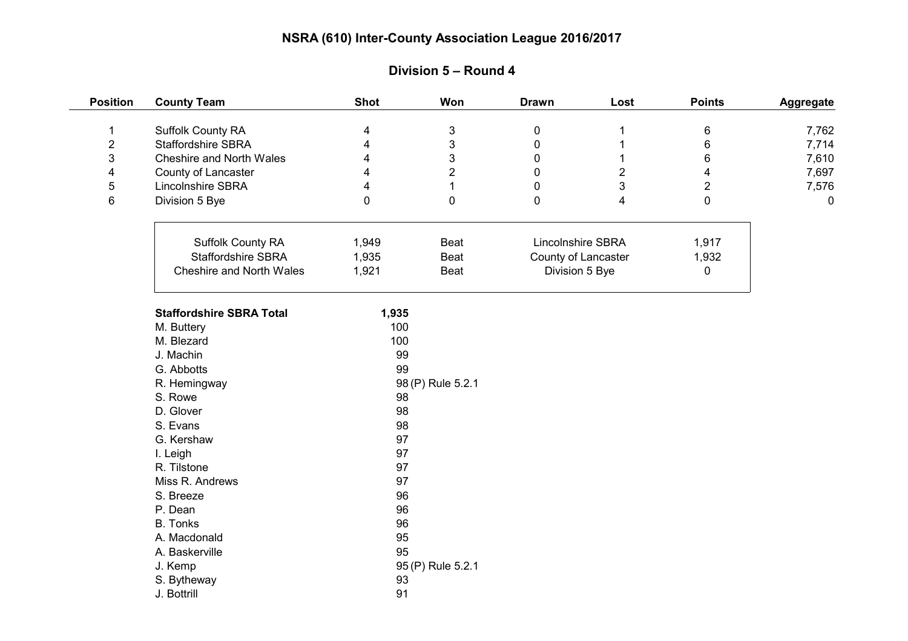| <b>Position</b> | <b>County Team</b>              | <b>Shot</b>       | Won               | <b>Drawn</b>        | Lost              | <b>Points</b>           | <b>Aggregate</b> |
|-----------------|---------------------------------|-------------------|-------------------|---------------------|-------------------|-------------------------|------------------|
| 1               | Suffolk County RA               | 4                 | $\sqrt{3}$        | $\pmb{0}$           |                   | 6                       | 7,762            |
| $\overline{2}$  | Staffordshire SBRA              | 4                 | $\mathfrak{S}$    | $\pmb{0}$           |                   | 6                       | 7,714            |
| 3               | <b>Cheshire and North Wales</b> | 4                 | $\mathfrak{S}$    | 0                   |                   | 6                       | 7,610            |
| 4               | County of Lancaster             | 4                 | $\overline{2}$    | $\mathbf{0}$        | $\overline{2}$    | $\overline{\mathbf{4}}$ | 7,697            |
| 5               | Lincolnshire SBRA               | 4                 | $\mathbf{1}$      | 0                   | 3                 | $\overline{2}$          | 7,576            |
| 6               | Division 5 Bye                  | $\Omega$          | 0                 | 0                   | 4                 | $\mathbf 0$             | $\mathbf 0$      |
|                 |                                 |                   |                   |                     |                   |                         |                  |
|                 | Suffolk County RA               | 1,949             | Beat              |                     | Lincolnshire SBRA |                         |                  |
|                 | <b>Staffordshire SBRA</b>       | 1,935             | Beat              | County of Lancaster |                   | 1,932                   |                  |
|                 | Cheshire and North Wales        | 1,921             | Beat              | Division 5 Bye      |                   | 0                       |                  |
|                 | <b>Staffordshire SBRA Total</b> | 1,935             |                   |                     |                   |                         |                  |
|                 | M. Buttery                      | 100               |                   |                     |                   |                         |                  |
|                 | M. Blezard                      | 100               |                   |                     |                   |                         |                  |
|                 | J. Machin                       | 99                |                   |                     |                   |                         |                  |
|                 | G. Abbotts                      | 99                |                   |                     |                   |                         |                  |
|                 | R. Hemingway                    | 98 (P) Rule 5.2.1 |                   |                     |                   |                         |                  |
|                 | S. Rowe                         | 98                |                   |                     |                   |                         |                  |
|                 | D. Glover                       | 98                |                   |                     |                   |                         |                  |
|                 | S. Evans                        | 98                |                   |                     |                   |                         |                  |
|                 | G. Kershaw                      | 97                |                   |                     |                   |                         |                  |
|                 | I. Leigh                        | 97                |                   |                     |                   |                         |                  |
|                 | R. Tilstone                     | 97                |                   |                     |                   |                         |                  |
|                 | Miss R. Andrews                 | 97                |                   |                     |                   |                         |                  |
|                 | S. Breeze                       | 96                |                   |                     |                   |                         |                  |
|                 | P. Dean                         | 96                |                   |                     |                   |                         |                  |
|                 | <b>B.</b> Tonks                 | 96                |                   |                     |                   |                         |                  |
|                 | A. Macdonald                    | 95                |                   |                     |                   |                         |                  |
|                 | A. Baskerville                  | 95                |                   |                     |                   |                         |                  |
|                 | J. Kemp                         |                   | 95 (P) Rule 5.2.1 |                     |                   |                         |                  |
|                 | S. Bytheway                     | 93                |                   |                     |                   |                         |                  |
|                 | J. Bottrill                     | 91                |                   |                     |                   |                         |                  |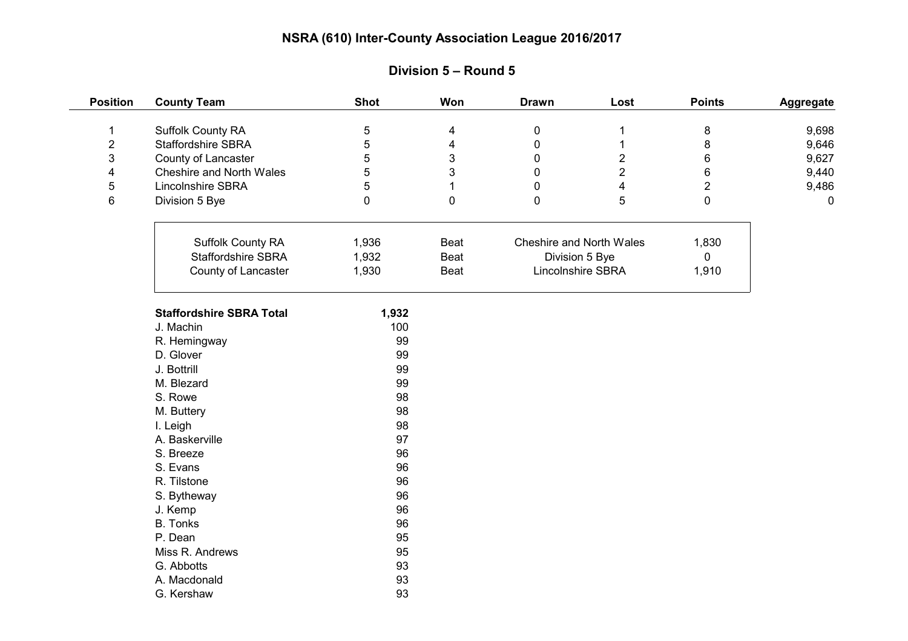| <b>Position</b> | <b>County Team</b>              | <b>Shot</b> | Won       | <b>Drawn</b>      | Lost                     | <b>Points</b>  | <b>Aggregate</b> |
|-----------------|---------------------------------|-------------|-----------|-------------------|--------------------------|----------------|------------------|
| $\mathbf 1$     | Suffolk County RA               | 5           | 4         | $\pmb{0}$         |                          | 8              | 9,698            |
| $\overline{c}$  | Staffordshire SBRA              | 5           | 4         | 0                 |                          | $\bf 8$        | 9,646            |
| 3               | County of Lancaster             | 5           | 3         | 0                 | $\overline{2}$           | $\,6\,$        | 9,627            |
| 4               | Cheshire and North Wales        | 5           | 3         | 0                 | $\overline{2}$           | $\,6\,$        | 9,440            |
| 5               | Lincolnshire SBRA               | 5           | 1         | $\mathbf{0}$      | 4                        | $\overline{2}$ | 9,486            |
| 6               | Division 5 Bye                  | $\mathbf 0$ | $\pmb{0}$ | 0                 | 5                        | $\mathbf 0$    | 0                |
|                 |                                 |             |           |                   |                          |                |                  |
|                 | Suffolk County RA               | 1,936       | Beat      |                   | Cheshire and North Wales |                |                  |
|                 | <b>Staffordshire SBRA</b>       | 1,932       | Beat      | Division 5 Bye    |                          | $\mathbf 0$    |                  |
|                 | County of Lancaster             | 1,930       | Beat      | Lincolnshire SBRA |                          | 1,910          |                  |
|                 | <b>Staffordshire SBRA Total</b> | 1,932       |           |                   |                          |                |                  |
|                 | J. Machin                       | 100         |           |                   |                          |                |                  |
|                 | R. Hemingway                    | 99          |           |                   |                          |                |                  |
|                 | D. Glover                       | 99          |           |                   |                          |                |                  |
|                 | J. Bottrill                     | 99          |           |                   |                          |                |                  |
|                 | M. Blezard                      | 99          |           |                   |                          |                |                  |
|                 | S. Rowe                         | 98          |           |                   |                          |                |                  |
|                 | M. Buttery                      | 98          |           |                   |                          |                |                  |
|                 | I. Leigh                        | 98          |           |                   |                          |                |                  |
|                 | A. Baskerville                  | 97          |           |                   |                          |                |                  |
|                 | S. Breeze                       | 96          |           |                   |                          |                |                  |
|                 | S. Evans                        | 96          |           |                   |                          |                |                  |
|                 | R. Tilstone                     | 96          |           |                   |                          |                |                  |
|                 | S. Bytheway                     | 96          |           |                   |                          |                |                  |
|                 | J. Kemp                         | 96          |           |                   |                          |                |                  |
|                 | <b>B.</b> Tonks                 | 96          |           |                   |                          |                |                  |
|                 | P. Dean                         | 95          |           |                   |                          |                |                  |
|                 | Miss R. Andrews                 | 95          |           |                   |                          |                |                  |
|                 | G. Abbotts                      | 93          |           |                   |                          |                |                  |
|                 | A. Macdonald                    | 93          |           |                   |                          |                |                  |
|                 | G. Kershaw                      | 93          |           |                   |                          |                |                  |

### **Division 5 – Round 5**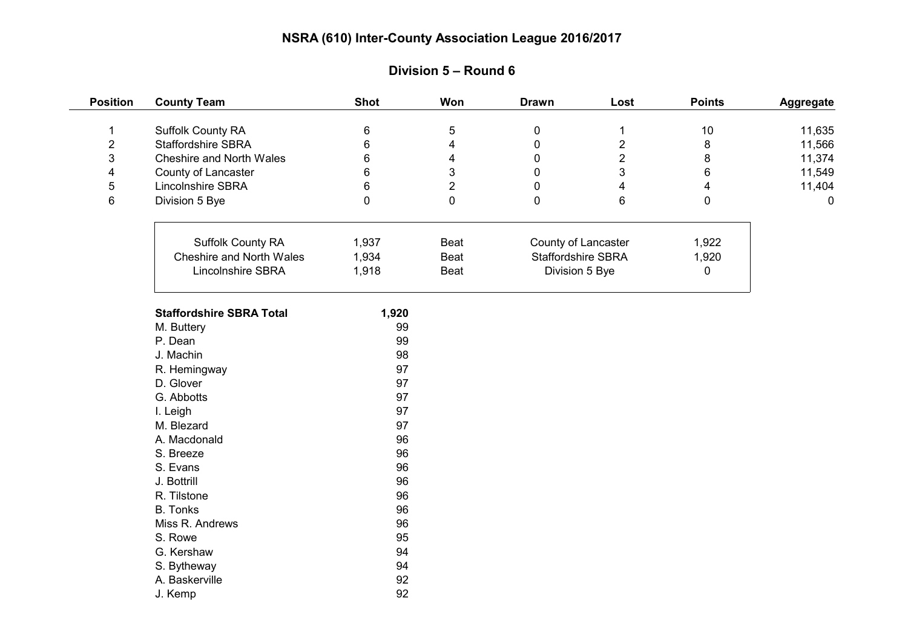| <b>Position</b> | <b>County Team</b>              | <b>Shot</b> | Won                     | <b>Drawn</b>                         | Lost                    | <b>Points</b>           | Aggregate |
|-----------------|---------------------------------|-------------|-------------------------|--------------------------------------|-------------------------|-------------------------|-----------|
| $\mathbf 1$     | <b>Suffolk County RA</b>        | 6           | $\overline{5}$          | $\mathbf 0$                          | $\mathbf 1$             | 10                      | 11,635    |
| $\overline{2}$  | <b>Staffordshire SBRA</b>       | 6           | $\overline{\mathbf{4}}$ | $\mathbf 0$                          | $\mathbf{2}$            | 8                       | 11,566    |
| 3               | Cheshire and North Wales        | 6           | $\overline{\mathbf{4}}$ | $\mathbf 0$                          | $\overline{2}$          | 8                       | 11,374    |
| 4               | County of Lancaster             | 6           | $\sqrt{3}$              | $\mathbf{0}$                         | 3                       | 6                       | 11,549    |
| 5               | Lincolnshire SBRA               | 6           | $\overline{2}$          | $\mathbf 0$                          | $\overline{\mathbf{4}}$ | $\overline{\mathbf{4}}$ | 11,404    |
| 6               | Division 5 Bye                  | 0           | $\mathbf 0$             | $\mathbf 0$                          | $6\phantom{1}$          | $\mathbf 0$             | 0         |
|                 |                                 |             |                         |                                      |                         |                         |           |
|                 | <b>Suffolk County RA</b>        | 1,937       | Beat                    | County of Lancaster                  |                         | 1,922                   |           |
|                 | Cheshire and North Wales        | 1,934       | Beat                    | Staffordshire SBRA<br>Division 5 Bye |                         | 1,920                   |           |
|                 | Lincolnshire SBRA               | 1,918       | Beat                    |                                      |                         | 0                       |           |
|                 | <b>Staffordshire SBRA Total</b> | 1,920       |                         |                                      |                         |                         |           |
|                 | M. Buttery                      | 99          |                         |                                      |                         |                         |           |
|                 | P. Dean                         | 99          |                         |                                      |                         |                         |           |
|                 | J. Machin                       | 98          |                         |                                      |                         |                         |           |
|                 | R. Hemingway                    | 97          |                         |                                      |                         |                         |           |
|                 | D. Glover                       | 97          |                         |                                      |                         |                         |           |
|                 | G. Abbotts                      | 97          |                         |                                      |                         |                         |           |
|                 | I. Leigh                        | 97          |                         |                                      |                         |                         |           |
|                 | M. Blezard                      | 97          |                         |                                      |                         |                         |           |
|                 | A. Macdonald                    | 96          |                         |                                      |                         |                         |           |
|                 | S. Breeze                       | 96          |                         |                                      |                         |                         |           |
|                 | S. Evans                        | 96          |                         |                                      |                         |                         |           |
|                 | J. Bottrill                     | 96          |                         |                                      |                         |                         |           |
|                 | R. Tilstone                     | 96          |                         |                                      |                         |                         |           |
|                 | <b>B.</b> Tonks                 | 96          |                         |                                      |                         |                         |           |
|                 | Miss R. Andrews                 | 96          |                         |                                      |                         |                         |           |
|                 | S. Rowe                         | 95          |                         |                                      |                         |                         |           |
|                 | G. Kershaw                      | 94          |                         |                                      |                         |                         |           |
|                 | S. Bytheway                     | 94          |                         |                                      |                         |                         |           |
|                 | A. Baskerville                  | 92          |                         |                                      |                         |                         |           |
|                 | J. Kemp                         | 92          |                         |                                      |                         |                         |           |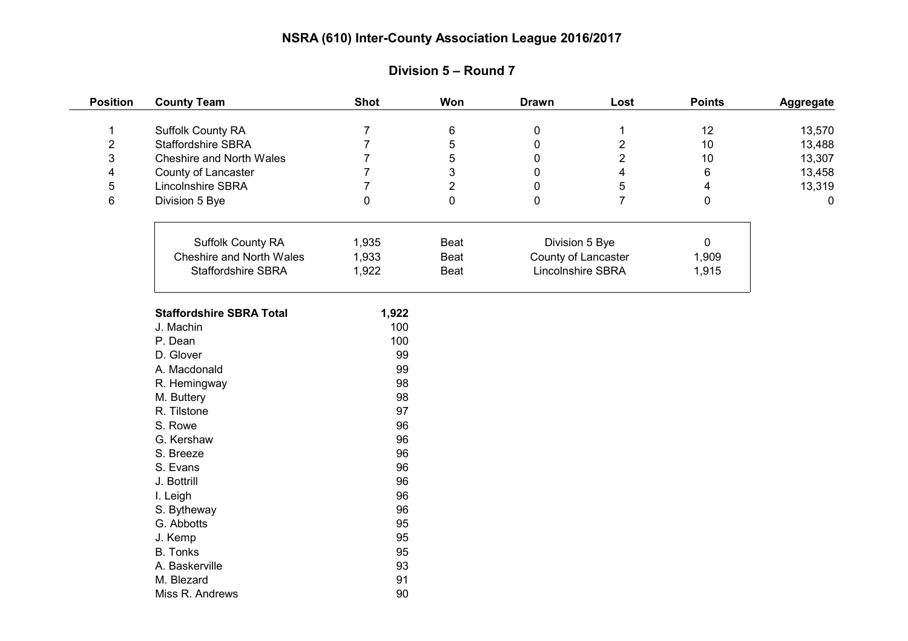| <b>Position</b>         | <b>County Team</b>              | <b>Shot</b>    | Won            | <b>Drawn</b>        | Lost                    | <b>Points</b>           | Aggregate |
|-------------------------|---------------------------------|----------------|----------------|---------------------|-------------------------|-------------------------|-----------|
| $\mathbf 1$             | Suffolk County RA               | $\overline{7}$ | 6              | $\pmb{0}$           | 1                       | 12                      | 13,570    |
| $\overline{\mathbf{c}}$ | <b>Staffordshire SBRA</b>       | $\overline{7}$ | 5              | $\pmb{0}$           | $\overline{2}$          | 10                      | 13,488    |
| 3                       | Cheshire and North Wales        | $\overline{7}$ | 5              | $\mathbf 0$         | $\overline{2}$          | $10$                    | 13,307    |
| 4                       | County of Lancaster             | $\overline{7}$ | 3              | 0                   | $\overline{\mathbf{4}}$ | 6                       | 13,458    |
| 5                       | Lincolnshire SBRA               | $\overline{7}$ | $\overline{2}$ | 0                   | 5                       | $\overline{\mathbf{4}}$ | 13,319    |
| 6                       | Division 5 Bye                  | 0              | $\pmb{0}$      | 0                   | $\overline{7}$          | $\mathbf 0$             | 0         |
|                         |                                 |                |                |                     |                         |                         |           |
|                         | Suffolk County RA               | 1,935          | Beat           | Division 5 Bye      |                         | 0                       |           |
|                         | Cheshire and North Wales        | 1,933          | Beat           | County of Lancaster |                         | 1,909                   |           |
|                         | Staffordshire SBRA              | 1,922          | Beat           | Lincolnshire SBRA   |                         | 1,915                   |           |
|                         | <b>Staffordshire SBRA Total</b> | 1,922          |                |                     |                         |                         |           |
|                         | J. Machin                       | 100            |                |                     |                         |                         |           |
|                         | P. Dean                         | 100            |                |                     |                         |                         |           |
|                         | D. Glover                       | 99             |                |                     |                         |                         |           |
|                         | A. Macdonald                    | 99             |                |                     |                         |                         |           |
|                         | R. Hemingway                    | 98             |                |                     |                         |                         |           |
|                         | M. Buttery                      | 98             |                |                     |                         |                         |           |
|                         | R. Tilstone                     | 97             |                |                     |                         |                         |           |
|                         | S. Rowe                         | 96             |                |                     |                         |                         |           |
|                         | G. Kershaw                      | 96             |                |                     |                         |                         |           |
|                         | S. Breeze                       | 96             |                |                     |                         |                         |           |
|                         | S. Evans                        | 96             |                |                     |                         |                         |           |
|                         | J. Bottrill                     | 96             |                |                     |                         |                         |           |
|                         | I. Leigh                        | 96             |                |                     |                         |                         |           |
|                         | S. Bytheway                     | 96             |                |                     |                         |                         |           |
|                         | G. Abbotts                      | 95             |                |                     |                         |                         |           |
|                         | J. Kemp                         | 95             |                |                     |                         |                         |           |
|                         | <b>B.</b> Tonks                 | 95             |                |                     |                         |                         |           |
|                         | A. Baskerville                  | 93             |                |                     |                         |                         |           |
|                         | M. Blezard                      | 91             |                |                     |                         |                         |           |
|                         | Miss R. Andrews                 | 90             |                |                     |                         |                         |           |

# **Division 5 – Round 7**

 $\frac{1}{1}$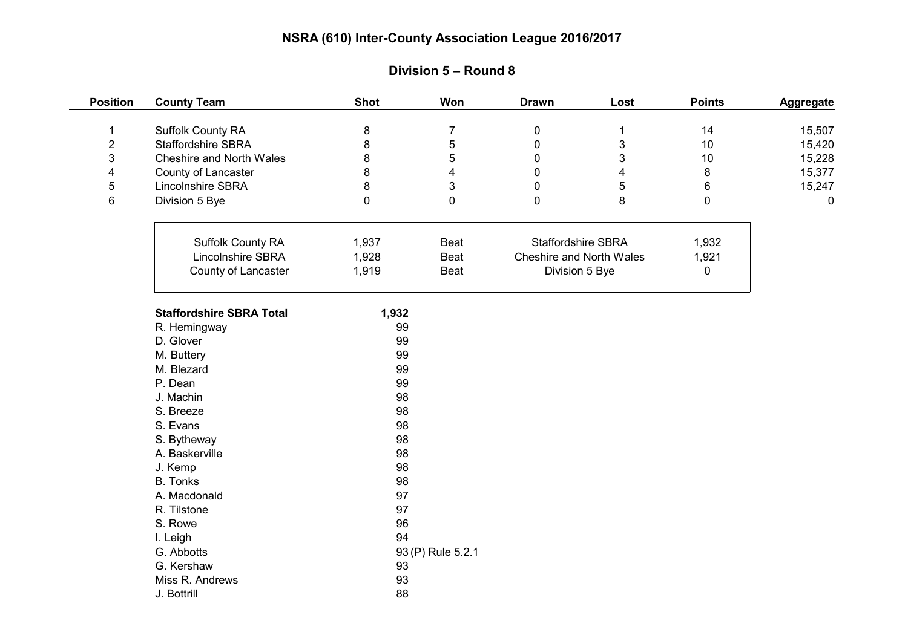| <b>Position</b> | <b>County Team</b>              | <b>Shot</b> | Won                     | <b>Drawn</b>              | Lost | <b>Points</b> | Aggregate |
|-----------------|---------------------------------|-------------|-------------------------|---------------------------|------|---------------|-----------|
| $\mathbf 1$     | Suffolk County RA               | 8           | $\overline{7}$          | $\mathbf 0$               | 1    | 14            | 15,507    |
| $\overline{2}$  | <b>Staffordshire SBRA</b>       | 8           | 5                       | $\mathbf 0$               | 3    | 10            | 15,420    |
| 3               | Cheshire and North Wales        | 8           | 5                       | 0                         | 3    | 10            | 15,228    |
| 4               | County of Lancaster             | 8           | $\overline{\mathbf{4}}$ | $\mathbf{0}$              | 4    | 8             | 15,377    |
| 5               | Lincolnshire SBRA               | 8           | 3                       | 0                         | 5    | $\,6\,$       | 15,247    |
| 6               | Division 5 Bye                  | 0           | $\pmb{0}$               | $\mathbf 0$               | 8    | 0             | 0         |
|                 |                                 |             |                         |                           |      |               |           |
|                 | Suffolk County RA               | 1,937       | Beat                    | <b>Staffordshire SBRA</b> |      | 1,932         |           |
|                 | Lincolnshire SBRA               | 1,928       | Beat                    | Cheshire and North Wales  |      | 1,921         |           |
|                 | County of Lancaster             | 1,919       | Beat                    | Division 5 Bye            |      | 0             |           |
|                 | <b>Staffordshire SBRA Total</b> | 1,932       |                         |                           |      |               |           |
|                 | R. Hemingway                    | 99          |                         |                           |      |               |           |
|                 | D. Glover                       | 99          |                         |                           |      |               |           |
|                 | M. Buttery                      | 99          |                         |                           |      |               |           |
|                 | M. Blezard                      | 99          |                         |                           |      |               |           |
|                 | P. Dean                         | 99          |                         |                           |      |               |           |
|                 | J. Machin                       | 98          |                         |                           |      |               |           |
|                 | S. Breeze                       | 98          |                         |                           |      |               |           |
|                 | S. Evans                        | 98          |                         |                           |      |               |           |
|                 | S. Bytheway                     | 98          |                         |                           |      |               |           |
|                 | A. Baskerville                  | 98          |                         |                           |      |               |           |
|                 | J. Kemp                         | 98          |                         |                           |      |               |           |
|                 | <b>B.</b> Tonks                 | 98          |                         |                           |      |               |           |
|                 | A. Macdonald                    | 97          |                         |                           |      |               |           |
|                 | R. Tilstone                     | 97          |                         |                           |      |               |           |
|                 | S. Rowe                         | 96          |                         |                           |      |               |           |
|                 | I. Leigh                        | 94          |                         |                           |      |               |           |
|                 | G. Abbotts                      |             | 93 (P) Rule 5.2.1       |                           |      |               |           |
|                 | G. Kershaw                      | 93          |                         |                           |      |               |           |
|                 | Miss R. Andrews                 | 93          |                         |                           |      |               |           |
|                 | J. Bottrill                     | 88          |                         |                           |      |               |           |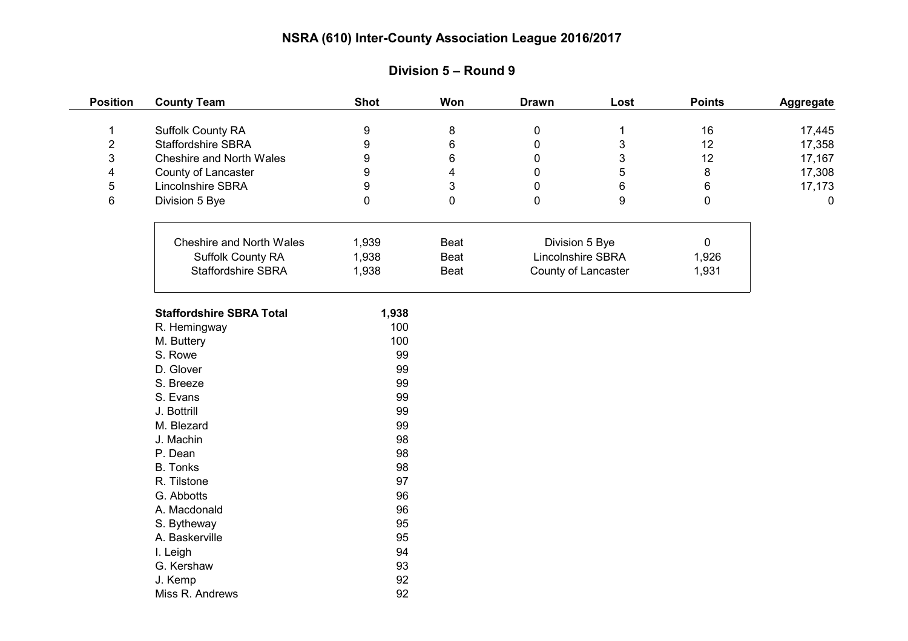| <b>Position</b> | <b>County Team</b>              | <b>Shot</b>  | Won                     | <b>Drawn</b>        | Lost                      | <b>Points</b> | Aggregate |
|-----------------|---------------------------------|--------------|-------------------------|---------------------|---------------------------|---------------|-----------|
| $\mathbf 1$     | Suffolk County RA               | 9            | 8                       | $\mathbf 0$         | $\mathbf{1}$              | 16            | 17,445    |
| $\overline{c}$  | <b>Staffordshire SBRA</b>       | 9            | 6                       | $\mathbf 0$         | $\ensuremath{\mathsf{3}}$ | 12            | 17,358    |
| 3               | Cheshire and North Wales        | 9            | 6                       | 0                   | 3                         | 12            | 17,167    |
| 4               | County of Lancaster             | 9            | $\overline{\mathbf{4}}$ | $\mathbf 0$         | 5                         | 8             | 17,308    |
| 5               | Lincolnshire SBRA               | 9            | 3                       | $\mathbf 0$         | 6                         | 6             | 17,173    |
| 6               | Division 5 Bye                  | 0            | $\mathbf 0$             | $\mathbf 0$         | 9                         | $\mathbf 0$   | 0         |
|                 |                                 |              |                         |                     |                           |               |           |
|                 | Cheshire and North Wales        | 1,939        | Beat                    | Division 5 Bye      |                           | $\mathbf 0$   |           |
|                 | Suffolk County RA               | 1,938        | Beat                    | Lincolnshire SBRA   |                           | 1,926         |           |
|                 | <b>Staffordshire SBRA</b>       | 1,938        | Beat                    | County of Lancaster |                           | 1,931         |           |
|                 | <b>Staffordshire SBRA Total</b> |              |                         |                     |                           |               |           |
|                 |                                 | 1,938<br>100 |                         |                     |                           |               |           |
|                 | R. Hemingway<br>M. Buttery      | 100          |                         |                     |                           |               |           |
|                 | S. Rowe                         | 99           |                         |                     |                           |               |           |
|                 | D. Glover                       | 99           |                         |                     |                           |               |           |
|                 | S. Breeze                       | 99           |                         |                     |                           |               |           |
|                 | S. Evans                        | 99           |                         |                     |                           |               |           |
|                 | J. Bottrill                     | 99           |                         |                     |                           |               |           |
|                 | M. Blezard                      | 99           |                         |                     |                           |               |           |
|                 | J. Machin                       | 98           |                         |                     |                           |               |           |
|                 | P. Dean                         | 98           |                         |                     |                           |               |           |
|                 | <b>B.</b> Tonks                 | 98           |                         |                     |                           |               |           |
|                 | R. Tilstone                     | 97           |                         |                     |                           |               |           |
|                 | G. Abbotts                      | 96           |                         |                     |                           |               |           |
|                 | A. Macdonald                    | 96           |                         |                     |                           |               |           |
|                 | S. Bytheway                     | 95           |                         |                     |                           |               |           |
|                 | A. Baskerville                  | 95           |                         |                     |                           |               |           |
|                 | I. Leigh                        | 94           |                         |                     |                           |               |           |
|                 | G. Kershaw                      | 93           |                         |                     |                           |               |           |
|                 | J. Kemp                         | 92           |                         |                     |                           |               |           |
|                 | Miss R. Andrews                 | 92           |                         |                     |                           |               |           |

# **Division 5 – Round 9**

 $\frac{1}{1}$